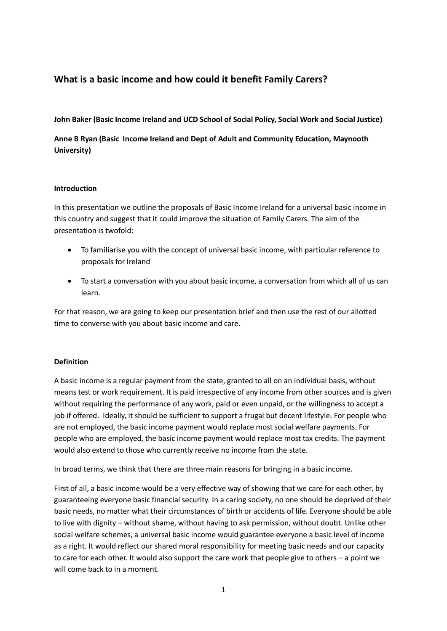# **What is a basic income and how could it benefit Family Carers?**

### **John Baker (Basic Income Ireland and UCD School of Social Policy, Social Work and Social Justice)**

**Anne B Ryan (Basic Income Ireland and Dept of Adult and Community Education, Maynooth University)**

### **Introduction**

In this presentation we outline the proposals of Basic Income Ireland for a universal basic income in this country and suggest that it could improve the situation of Family Carers. The aim of the presentation is twofold:

- To familiarise you with the concept of universal basic income, with particular reference to proposals for Ireland
- To start a conversation with you about basic income, a conversation from which all of us can learn.

For that reason, we are going to keep our presentation brief and then use the rest of our allotted time to converse with you about basic income and care.

## **Definition**

A basic income is a regular payment from the state, granted to all on an individual basis, without means test or work requirement. It is paid irrespective of any income from other sources and is given without requiring the performance of any work, paid or even unpaid, or the willingness to accept a job if offered. Ideally, it should be sufficient to support a frugal but decent lifestyle. For people who are not employed, the basic income payment would replace most social welfare payments. For people who are employed, the basic income payment would replace most tax credits. The payment would also extend to those who currently receive no income from the state.

In broad terms, we think that there are three main reasons for bringing in a basic income.

First of all, a basic income would be a very effective way of showing that we care for each other, by guaranteeing everyone basic financial security. In a caring society, no one should be deprived of their basic needs, no matter what their circumstances of birth or accidents of life. Everyone should be able to live with dignity – without shame, without having to ask permission, without doubt. Unlike other social welfare schemes, a universal basic income would guarantee everyone a basic level of income as a right. It would reflect our shared moral responsibility for meeting basic needs and our capacity to care for each other. It would also support the care work that people give to others – a point we will come back to in a moment.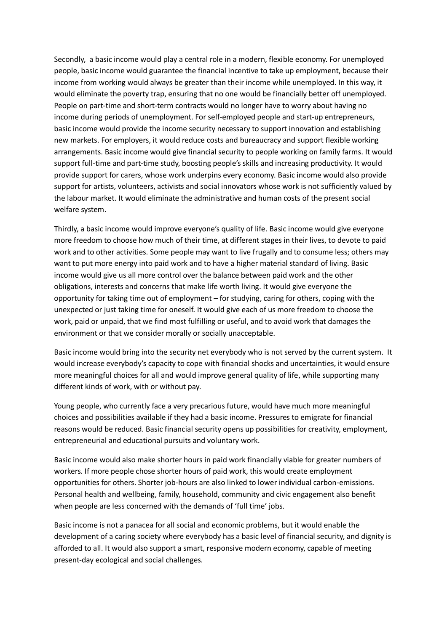Secondly, a basic income would play a central role in a modern, flexible economy. For unemployed people, basic income would guarantee the financial incentive to take up employment, because their income from working would always be greater than their income while unemployed. In this way, it would eliminate the poverty trap, ensuring that no one would be financially better off unemployed. People on part-time and short-term contracts would no longer have to worry about having no income during periods of unemployment. For self-employed people and start-up entrepreneurs, basic income would provide the income security necessary to support innovation and establishing new markets. For employers, it would reduce costs and bureaucracy and support flexible working arrangements. Basic income would give financial security to people working on family farms. It would support full-time and part-time study, boosting people's skills and increasing productivity. It would provide support for carers, whose work underpins every economy. Basic income would also provide support for artists, volunteers, activists and social innovators whose work is not sufficiently valued by the labour market. It would eliminate the administrative and human costs of the present social welfare system.

Thirdly, a basic income would improve everyone's quality of life. Basic income would give everyone more freedom to choose how much of their time, at different stages in their lives, to devote to paid work and to other activities. Some people may want to live frugally and to consume less; others may want to put more energy into paid work and to have a higher material standard of living. Basic income would give us all more control over the balance between paid work and the other obligations, interests and concerns that make life worth living. It would give everyone the opportunity for taking time out of employment – for studying, caring for others, coping with the unexpected or just taking time for oneself. It would give each of us more freedom to choose the work, paid or unpaid, that we find most fulfilling or useful, and to avoid work that damages the environment or that we consider morally or socially unacceptable.

Basic income would bring into the security net everybody who is not served by the current system. It would increase everybody's capacity to cope with financial shocks and uncertainties, it would ensure more meaningful choices for all and would improve general quality of life, while supporting many different kinds of work, with or without pay.

Young people, who currently face a very precarious future, would have much more meaningful choices and possibilities available if they had a basic income. Pressures to emigrate for financial reasons would be reduced. Basic financial security opens up possibilities for creativity, employment, entrepreneurial and educational pursuits and voluntary work.

Basic income would also make shorter hours in paid work financially viable for greater numbers of workers. If more people chose shorter hours of paid work, this would create employment opportunities for others. Shorter job-hours are also linked to lower individual carbon-emissions. Personal health and wellbeing, family, household, community and civic engagement also benefit when people are less concerned with the demands of 'full time' jobs.

Basic income is not a panacea for all social and economic problems, but it would enable the development of a caring society where everybody has a basic level of financial security, and dignity is afforded to all. It would also support a smart, responsive modern economy, capable of meeting present-day ecological and social challenges.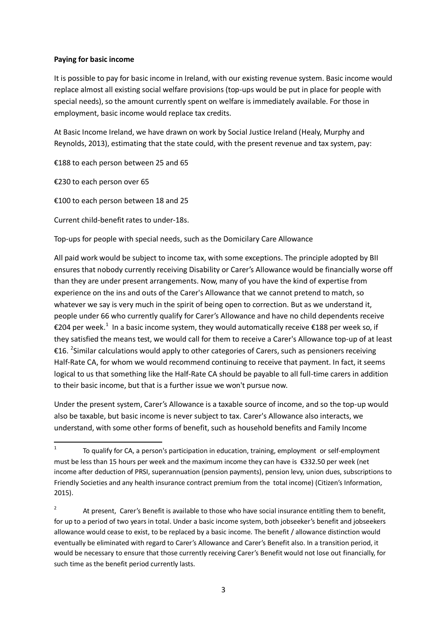### **Paying for basic income**

It is possible to pay for basic income in Ireland, with our existing revenue system. Basic income would replace almost all existing social welfare provisions (top-ups would be put in place for people with special needs), so the amount currently spent on welfare is immediately available. For those in employment, basic income would replace tax credits.

At Basic Income Ireland, we have drawn on work by Social Justice Ireland (Healy, Murphy and Reynolds, 2013), estimating that the state could, with the present revenue and tax system, pay:

€188 to each person between 25 and 65

€230 to each person over 65

€100 to each person between 18 and 25

Current child-benefit rates to under-18s.

Top-ups for people with special needs, such as the Domicilary Care Allowance

All paid work would be subject to income tax, with some exceptions. The principle adopted by BII ensures that nobody currently receiving Disability or Carer's Allowance would be financially worse off than they are under present arrangements. Now, many of you have the kind of expertise from experience on the ins and outs of the Carer's Allowance that we cannot pretend to match, so whatever we say is very much in the spirit of being open to correction. But as we understand it, people under 66 who currently qualify for Carer's Allowance and have no child dependents receive €204 per week.<sup>1</sup> In a basic income system, they would automatically receive €188 per week so, if they satisfied the means test, we would call for them to receive a Carer's Allowance top-up of at least €16. <sup>2</sup>Similar calculations would apply to other categories of Carers, such as pensioners receiving Half-Rate CA, for whom we would recommend continuing to receive that payment. In fact, it seems logical to us that something like the Half-Rate CA should be payable to all full-time carers in addition to their basic income, but that is a further issue we won't pursue now.

Under the present system, Carer's Allowance is a taxable source of income, and so the top-up would also be taxable, but basic income is never subject to tax. Carer's Allowance also interacts, we understand, with some other forms of benefit, such as household benefits and Family Income

 $\frac{1}{1}$ To qualify for CA, a person's participation in education, training, employment or self-employment must be less than 15 hours per week and the maximum income they can have is €332.50 per week (net income after deduction of PRSI, superannuation (pension payments), pension levy, union dues, subscriptions to Friendly Societies and any health insurance contract premium from the total income) (Citizen's Information, 2015).

<sup>2</sup> At present, Carer's Benefit is available to those who have social insurance entitling them to benefit, for up to a period of two years in total. Under a basic income system, both jobseeker's benefit and jobseekers allowance would cease to exist, to be replaced by a basic income. The benefit / allowance distinction would eventually be eliminated with regard to Carer's Allowance and Carer's Benefit also. In a transition period, it would be necessary to ensure that those currently receiving Carer's Benefit would not lose out financially, for such time as the benefit period currently lasts.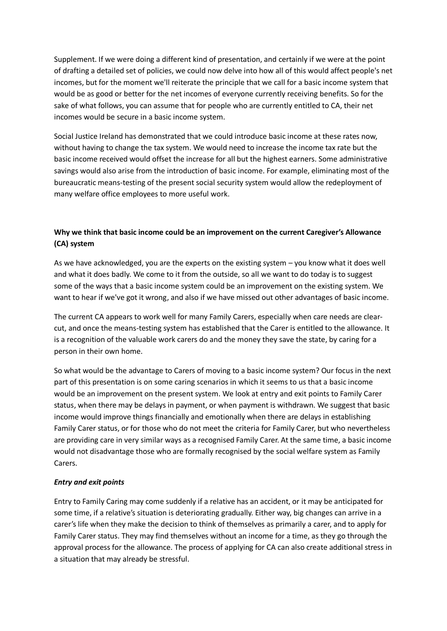Supplement. If we were doing a different kind of presentation, and certainly if we were at the point of drafting a detailed set of policies, we could now delve into how all of this would affect people's net incomes, but for the moment we'll reiterate the principle that we call for a basic income system that would be as good or better for the net incomes of everyone currently receiving benefits. So for the sake of what follows, you can assume that for people who are currently entitled to CA, their net incomes would be secure in a basic income system.

Social Justice Ireland has demonstrated that we could introduce basic income at these rates now, without having to change the tax system. We would need to increase the income tax rate but the basic income received would offset the increase for all but the highest earners. Some administrative savings would also arise from the introduction of basic income. For example, eliminating most of the bureaucratic means-testing of the present social security system would allow the redeployment of many welfare office employees to more useful work.

# **Why we think that basic income could be an improvement on the current Caregiver's Allowance (CA) system**

As we have acknowledged, you are the experts on the existing system – you know what it does well and what it does badly. We come to it from the outside, so all we want to do today is to suggest some of the ways that a basic income system could be an improvement on the existing system. We want to hear if we've got it wrong, and also if we have missed out other advantages of basic income.

The current CA appears to work well for many Family Carers, especially when care needs are clearcut, and once the means-testing system has established that the Carer is entitled to the allowance. It is a recognition of the valuable work carers do and the money they save the state, by caring for a person in their own home.

So what would be the advantage to Carers of moving to a basic income system? Our focus in the next part of this presentation is on some caring scenarios in which it seems to us that a basic income would be an improvement on the present system. We look at entry and exit points to Family Carer status, when there may be delays in payment, or when payment is withdrawn. We suggest that basic income would improve things financially and emotionally when there are delays in establishing Family Carer status, or for those who do not meet the criteria for Family Carer, but who nevertheless are providing care in very similar ways as a recognised Family Carer. At the same time, a basic income would not disadvantage those who are formally recognised by the social welfare system as Family Carers.

## *Entry and exit points*

Entry to Family Caring may come suddenly if a relative has an accident, or it may be anticipated for some time, if a relative's situation is deteriorating gradually. Either way, big changes can arrive in a carer's life when they make the decision to think of themselves as primarily a carer, and to apply for Family Carer status. They may find themselves without an income for a time, as they go through the approval process for the allowance. The process of applying for CA can also create additional stress in a situation that may already be stressful.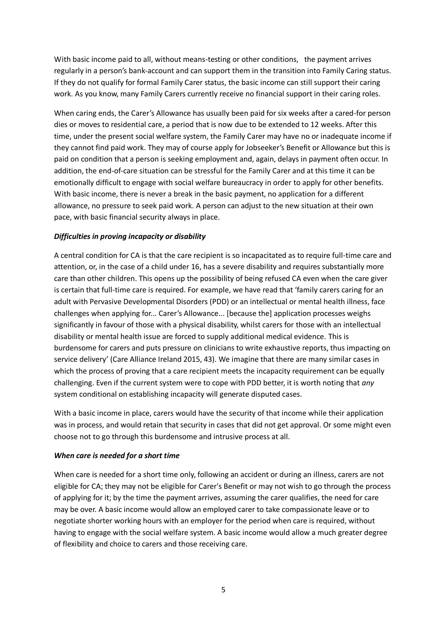With basic income paid to all, without means-testing or other conditions, the payment arrives regularly in a person's bank-account and can support them in the transition into Family Caring status. If they do not qualify for formal Family Carer status, the basic income can still support their caring work. As you know, many Family Carers currently receive no financial support in their caring roles.

When caring ends, the Carer's Allowance has usually been paid for six weeks after a cared-for person dies or moves to residential care, a period that is now due to be extended to 12 weeks. After this time, under the present social welfare system, the Family Carer may have no or inadequate income if they cannot find paid work. They may of course apply for Jobseeker's Benefit or Allowance but this is paid on condition that a person is seeking employment and, again, delays in payment often occur. In addition, the end-of-care situation can be stressful for the Family Carer and at this time it can be emotionally difficult to engage with social welfare bureaucracy in order to apply for other benefits. With basic income, there is never a break in the basic payment, no application for a different allowance, no pressure to seek paid work. A person can adjust to the new situation at their own pace, with basic financial security always in place.

## *Difficulties in proving incapacity or disability*

A central condition for CA is that the care recipient is so incapacitated as to require full-time care and attention, or, in the case of a child under 16, has a severe disability and requires substantially more care than other children. This opens up the possibility of being refused CA even when the care giver is certain that full-time care is required. For example, we have read that 'family carers caring for an adult with Pervasive Developmental Disorders (PDD) or an intellectual or mental health illness, face challenges when applying for... Carer's Allowance... [because the] application processes weighs significantly in favour of those with a physical disability, whilst carers for those with an intellectual disability or mental health issue are forced to supply additional medical evidence. This is burdensome for carers and puts pressure on clinicians to write exhaustive reports, thus impacting on service delivery' (Care Alliance Ireland 2015, 43). We imagine that there are many similar cases in which the process of proving that a care recipient meets the incapacity requirement can be equally challenging. Even if the current system were to cope with PDD better, it is worth noting that *any* system conditional on establishing incapacity will generate disputed cases.

With a basic income in place, carers would have the security of that income while their application was in process, and would retain that security in cases that did not get approval. Or some might even choose not to go through this burdensome and intrusive process at all.

### *When care is needed for a short time*

When care is needed for a short time only, following an accident or during an illness, carers are not eligible for CA; they may not be eligible for Carer's Benefit or may not wish to go through the process of applying for it; by the time the payment arrives, assuming the carer qualifies, the need for care may be over. A basic income would allow an employed carer to take compassionate leave or to negotiate shorter working hours with an employer for the period when care is required, without having to engage with the social welfare system. A basic income would allow a much greater degree of flexibility and choice to carers and those receiving care.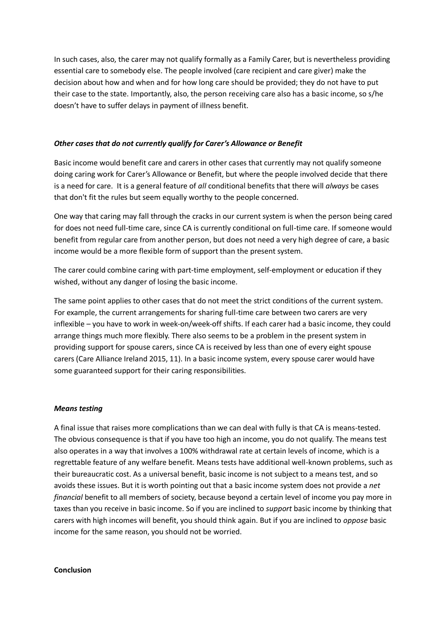In such cases, also, the carer may not qualify formally as a Family Carer, but is nevertheless providing essential care to somebody else. The people involved (care recipient and care giver) make the decision about how and when and for how long care should be provided; they do not have to put their case to the state. Importantly, also, the person receiving care also has a basic income, so s/he doesn't have to suffer delays in payment of illness benefit.

### *Other cases that do not currently qualify for Carer's Allowance or Benefit*

Basic income would benefit care and carers in other cases that currently may not qualify someone doing caring work for Carer's Allowance or Benefit, but where the people involved decide that there is a need for care. It is a general feature of *all* conditional benefits that there will *always* be cases that don't fit the rules but seem equally worthy to the people concerned.

One way that caring may fall through the cracks in our current system is when the person being cared for does not need full-time care, since CA is currently conditional on full-time care. If someone would benefit from regular care from another person, but does not need a very high degree of care, a basic income would be a more flexible form of support than the present system.

The carer could combine caring with part-time employment, self-employment or education if they wished, without any danger of losing the basic income.

The same point applies to other cases that do not meet the strict conditions of the current system. For example, the current arrangements for sharing full-time care between two carers are very inflexible – you have to work in week-on/week-off shifts. If each carer had a basic income, they could arrange things much more flexibly. There also seems to be a problem in the present system in providing support for spouse carers, since CA is received by less than one of every eight spouse carers (Care Alliance Ireland 2015, 11). In a basic income system, every spouse carer would have some guaranteed support for their caring responsibilities.

#### *Means testing*

A final issue that raises more complications than we can deal with fully is that CA is means-tested. The obvious consequence is that if you have too high an income, you do not qualify. The means test also operates in a way that involves a 100% withdrawal rate at certain levels of income, which is a regrettable feature of any welfare benefit. Means tests have additional well-known problems, such as their bureaucratic cost. As a universal benefit, basic income is not subject to a means test, and so avoids these issues. But it is worth pointing out that a basic income system does not provide a *net financial* benefit to all members of society, because beyond a certain level of income you pay more in taxes than you receive in basic income. So if you are inclined to *support* basic income by thinking that carers with high incomes will benefit, you should think again. But if you are inclined to *oppose* basic income for the same reason, you should not be worried.

#### **Conclusion**